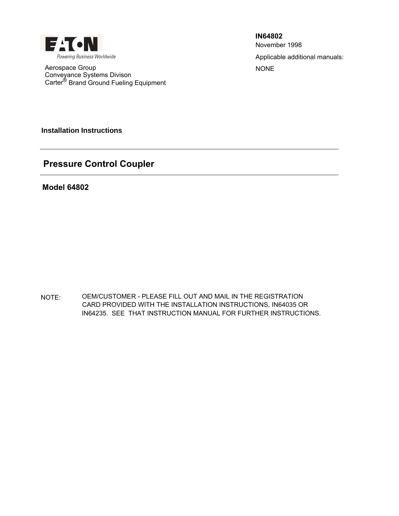

Aerospace Group NONE Conveyance Systems Divison Carter<sup>®</sup> Brand Ground Fueling Equipment

Applicable additional manuals: **IN64802** November 1998

**Installation Instructions**

# **Pressure Control Coupler**

**Model 64802**

NOTE: OEM/CUSTOMER - PLEASE FILL OUT AND MAIL IN THE REGISTRATION CARD PROVIDED WITH THE INSTALLATION INSTRUCTIONS, IN64035 OR IN64235. SEE THAT INSTRUCTION MANUAL FOR FURTHER INSTRUCTIONS.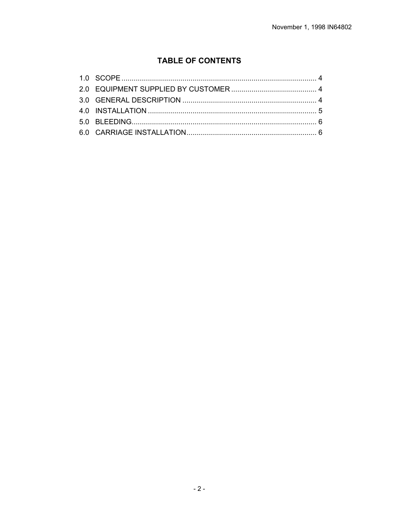# **TABLE OF CONTENTS**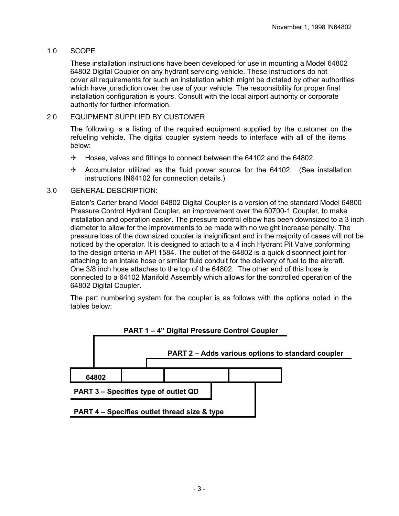# 1.0 SCOPE

These installation instructions have been developed for use in mounting a Model 64802 64802 Digital Coupler on any hydrant servicing vehicle. These instructions do not cover all requirements for such an installation which might be dictated by other authorities which have jurisdiction over the use of your vehicle. The responsibility for proper final installation configuration is yours. Consult with the local airport authority or corporate authority for further information.

# 2.0 EQUIPMENT SUPPLIED BY CUSTOMER

The following is a listing of the required equipment supplied by the customer on the refueling vehicle. The digital coupler system needs to interface with all of the items below:

- $\rightarrow$  Hoses, valves and fittings to connect between the 64102 and the 64802.
- $\rightarrow$  Accumulator utilized as the fluid power source for the 64102. (See installation instructions IN64102 for connection details.)

#### 3.0 GENERAL DESCRIPTION:

 Eaton's Carter brand Model 64802 Digital Coupler is a version of the standard Model 64800 Pressure Control Hydrant Coupler, an improvement over the 60700-1 Coupler, to make installation and operation easier. The pressure control elbow has been downsized to a 3 inch diameter to allow for the improvements to be made with no weight increase penalty. The pressure loss of the downsized coupler is insignificant and in the majority of cases will not be noticed by the operator. It is designed to attach to a 4 inch Hydrant Pit Valve conforming to the design criteria in API 1584. The outlet of the 64802 is a quick disconnect joint for attaching to an intake hose or similar fluid conduit for the delivery of fuel to the aircraft. One 3/8 inch hose attaches to the top of the 64802. The other end of this hose is connected to a 64102 Manifold Assembly which allows for the controlled operation of the 64802 Digital Coupler.

The part numbering system for the coupler is as follows with the options noted in the tables below:



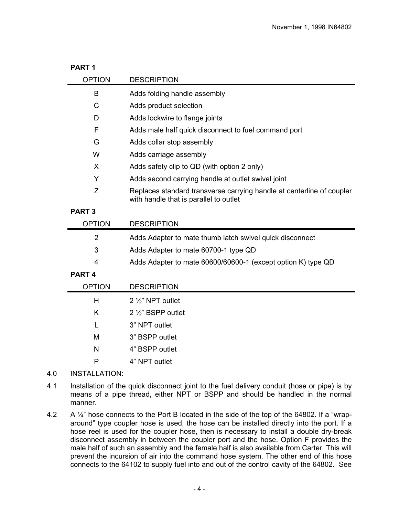| PART <sub>1</sub> |                                                                                                                 |  |  |  |  |
|-------------------|-----------------------------------------------------------------------------------------------------------------|--|--|--|--|
| <b>OPTION</b>     | <b>DESCRIPTION</b>                                                                                              |  |  |  |  |
| B                 | Adds folding handle assembly                                                                                    |  |  |  |  |
| C                 | Adds product selection                                                                                          |  |  |  |  |
| D                 | Adds lockwire to flange joints                                                                                  |  |  |  |  |
| F                 | Adds male half quick disconnect to fuel command port                                                            |  |  |  |  |
| G                 | Adds collar stop assembly                                                                                       |  |  |  |  |
| W                 | Adds carriage assembly                                                                                          |  |  |  |  |
| X                 | Adds safety clip to QD (with option 2 only)                                                                     |  |  |  |  |
| Y                 | Adds second carrying handle at outlet swivel joint                                                              |  |  |  |  |
| Z                 | Replaces standard transverse carrying handle at centerline of coupler<br>with handle that is parallel to outlet |  |  |  |  |
| <b>PART 3</b>     |                                                                                                                 |  |  |  |  |
| <b>OPTION</b>     | <b>DESCRIPTION</b>                                                                                              |  |  |  |  |
| 2                 | Adds Adapter to mate thumb latch swivel quick disconnect                                                        |  |  |  |  |
| 3                 | Adds Adapter to mate 60700-1 type QD                                                                            |  |  |  |  |
| 4                 | Adds Adapter to mate 60600/60600-1 (except option K) type QD                                                    |  |  |  |  |

## **PART 4**

| <b>OPTION</b> | <b>DESCRIPTION</b>        |  |
|---------------|---------------------------|--|
| н             | $2\frac{1}{2}$ NPT outlet |  |
| K             | 2 1/2" BSPP outlet        |  |
|               | 3" NPT outlet             |  |
| M             | 3" BSPP outlet            |  |
| N             | 4" BSPP outlet            |  |
| P             | 4" NPT outlet             |  |
|               |                           |  |

## 4.0 INSTALLATION:

- 4.1 Installation of the quick disconnect joint to the fuel delivery conduit (hose or pipe) is by means of a pipe thread, either NPT or BSPP and should be handled in the normal manner.
- 4.2 A 1/4" hose connects to the Port B located in the side of the top of the 64802. If a "wraparound" type coupler hose is used, the hose can be installed directly into the port. If a hose reel is used for the coupler hose, then is necessary to install a double dry-break disconnect assembly in between the coupler port and the hose. Option F provides the male half of such an assembly and the female half is also available from Carter. This will prevent the incursion of air into the command hose system. The other end of this hose connects to the 64102 to supply fuel into and out of the control cavity of the 64802. See